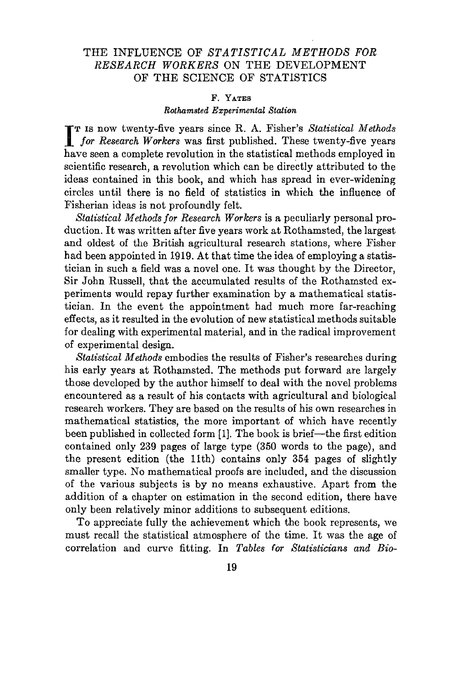# THE INFLUENCE OF *STATISTICAL METHODS FOR RESEARCH WORKERS* ON THE DEVELOPMENT OF THE SCIENCE OF STATISTICS

# F. YATES

### *Rothamsted Experimental Station*

**IT IS NOW twenty-five years since R. A. Fisher's Statistical Methods** for Research Workers was first published. These twenty-five years T IS now twenty-five years since R. A. Fisher's *Statistical 1vIethods* have seen a complete revolution in the statistical methods employed in scientific research, a revolution which can be directly attributed to the ideas contained in this book, and which has spread in ever-widening circles until there is no field of statistics in which the influence of Fisherian ideas is not profoundly felt.

*Statistical Methods for Research Workers* is a peculiarly personal production. It was written after five years work at Rothamsted, the largest and oldest of the British agricultural research stations, where Fisher had been appointed in 1919. At that time the idea of employing a statistician in such a field was a novel one. It was thought by the Director, Sir John Russell, that the accumulated results of the Rothamsted experiments would repay further examination by a mathematical statistician. In the event the appointment had much more far-reaching effects, as it resulted in the evolution of new statistical methods suitable for dealing with experimental material, and in the radical improvement of experimental design.

*Statistical Methods* embodies the results of Fisher's researches during his early years at Rothamsted. The methods put forward are largely those developed by the author himself to deal with the novel problems encountered as a result of his contacts with agricultural and biological research workers. They are based on the results of his own researches in mathematical statistics, the more important of which have recently been published in collected form [1]. The book is brief—the first edition contained only 239 pages of large type (350 words to the page), and the present edition (the 11th) contains only 354 pages of slightly smaller type. No mathematical proofs are included, and the discussion of the various subjects is by no means exhaustive. Apart from the addition of a chapter on estimation in the second edition, there have only been relatively minor additions to subsequent editions.

To appreciate fully the achievement which the book represents, we must recall the statistical atmosphere of the time. It was the age of correlation and curve fitting. In *Tables (or Statisticians and Bio-*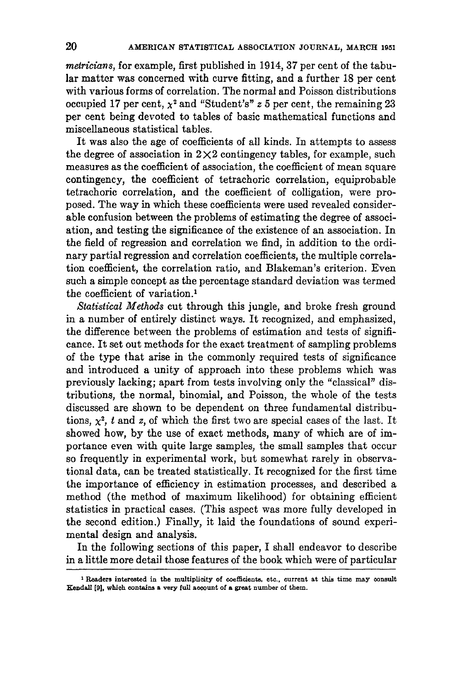*meiricians,* for example, first published in 1914,37 per cent of the tabular matter was concerned with curve fitting, and a further 18 per cent with various forms of correlation. The normal and Poisson distributions occupied 17 per cent,  $x^2$  and "Student's"  $z$  5 per cent, the remaining 23 per cent being devoted to tables of basic mathematical functions and miscellaneous statistical tables.

It was also the age of coefficients of all kinds. In attempts to assess the degree of association in  $2\times 2$  contingency tables, for example, such measures as the coefficient of association, the coefficient of mean square contingency, the coefficient of tetrachoric correlation, equiprobable tetrachoric correlation, and the coefficient of colligation, were proposed. The way in which these coefficients were used revealed considerable confusion between the problems of estimating the degree of association, and testing the significance of the existence of an association. In the field of regression and correlation we find, in addition to the ordinary partial regression and correlation coefficients, the multiple correlation coefficient, the correlation ratio, and Blakeman's criterion. Even such a simple concept as the percentage standard deviation was termed the coefficient of variation.'

*Statistical Methods* cut through this jungle, and broke fresh ground in a number of entirely distinct ways. It recognized, and emphasized, the difference between the problems of estimation and tests of significance. It set out methods for the exact treatment of sampling problems of the type that arise in the commonly required tests of significance and introduced a unity of approach into these problems which was previously lacking; apart from tests involving only the "classical" distributions, the normal, binomial, and Poisson, the whole of the tests discussed are shown to be dependent on three fundamental distributions,  $x^2$ , *t* and *z*, of which the first two are special cases of the last. It showed how, by the use of exact methods, many of which are of importance even with quite large samples, the small samples that occur so frequently in experimental work, but somewhat rarely in observational data, can be treated statistically. It recognized for the first time the importance of efficiency in estimation processes, and described a method (the method of maximum likelihood) for obtaining efficient statistics in practical cases. (This aspect was more fully developed in the second edition.) Finally, it laid the foundations of sound experimental design and analysis.

In the following sections of this paper, I shall endeavor to describe in a little more detail those features of the book which were of particular

<sup>1</sup> Readers interested in the multiplicity of coefficients. etc., current at this time may consult Kendall [91. which contains a very full account of a great number of them.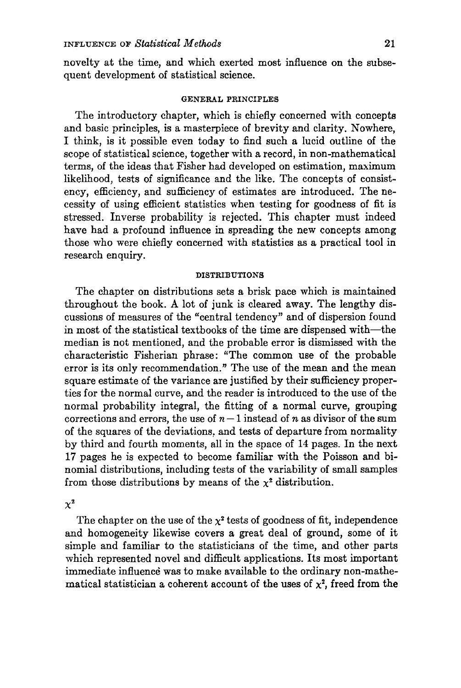novelty at the time, and which exerted most influence on the subsequent development of statistical science.

### GENERAL PRINCIPLES

The introductory chapter, which is chiefly concerned with concepts and basic principles, is a masterpiece of brevity and clarity. Nowhere, I think, is it possible even today to find such a lucid outline of the scope of statistical science, together with a record, in non-mathematical terms, of the ideas that Fisher had developed on estimation, maximum likelihood, tests of significance and the like. The concepts of consistency, efficiency, and sufficiency of estimates are introduced. The necessity of using efficient statistics when testing for goodness of fit is stressed. Inverse probability is rejected. This chapter must indeed have had a profound influence in spreading the new concepts among those who were chiefly concerned with statistics as a practical tool in research enquiry.

### DISTRIBUTIONS

The chapter on distributions sets a brisk pace which is maintained throughout the book. A lot of junk is cleared away. The lengthy discussions of measures of the "central tendency" and of dispersion found in most of the statistical textbooks of the time are dispensed with-the median is not mentioned, and the probable error is dismissed with the characteristic Fisherian phrase: "The common use of the probable error is its only recommendation." The use of the mean and the mean square estimate of the variance are justified by their sufficiency properties for the normal curve, and the reader is introduced to the use of the normal probability integral, the fitting of a normal curve, grouping corrections and errors, the use of  $n-1$  instead of *n* as divisor of the sum of the squares of the deviations, and tests of departure from normality by third and fourth moments, all in the space of 14 pages. In the next 17 pages he is expected to become familiar with the Poisson and binomial distributions, including tests of the variability of small samples from those distributions by means of the  $x^2$  distribution.

 $\chi^2$ 

The chapter on the use of the  $\chi^2$  tests of goodness of fit, independence and homogeneity likewise covers a great deal of ground, some of it simple and familiar to the statisticians of the time, and other parts which represented novel and difficult applications. Its most important immediate influence was to make available to the ordinary non-mathematical statistician a coherent account of the uses of  $x^2$ , freed from the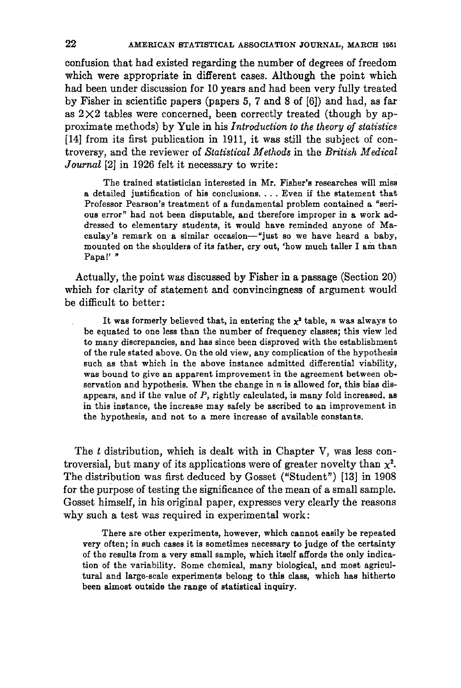confusion that had existed regarding the number of degrees of freedom which were appropriate in different cases. Although the point which had been under discussion for 10 years and had been very fully treated by Fisher in scientific papers (papers 5, 7 and 8 of [6]) and had, as far as  $2\times2$  tables were concerned, been correctly treated (though by approximate methods) by Yule in his *Introduction to the theory of statistics* [14] from its first publication in 1911, it was still the subject of controversy, and the reviewer of *Statistical Methods* in the *British Medical Journal* [2] in 1926 felt it necessary to write:

The trained statistician interested in Mr. Fisher's researches will miss <sup>a</sup> detailed justification of his conclusions.... Even if the statement that Professor Pearson's treatment of a fundamental problem contained a "serious error" had not been disputable, and therefore improper in a work addressed to elementary students, it would have reminded anyone of Macaulay's remark on a similar occasion-"just so we have heard a baby, mounted on the shoulders of its father, cry out, 'how much taller I am than Papa!' "

Actually, the point was discussed by Fisher in a passage (Section 20) which for clarity of statement and convincingness of argument would be difficult to better:

It was formerly believed that, in entering the  $x^2$  table, *n* was always to be equated to one less than the number of frequency classes; this view led to many discrepancies, and has since been disproved with the establishment of the rule stated above. On the old view, any complication of the hypothesis such as that which in the above instance admitted differential viability, was bound to give an apparent improvement in the agreement between observation and hypothesis. When the change in *n* is allowed for, this bias disappears, and if the value of  $P$ , rightly calculated, is many fold increased, as in this instance, the increase may safely be ascribed to an improvement in the hypothesis, and not to a mere increase of available constants.

The *t* distribution, which is dealt with in Chapter V, was less controversial, but many of its applications were of greater novelty than  $\chi^2$ . The distribution was first deduced by Gosset ("Student") [13] in 1908 for the purpose of testing the significance of the mean of a small sample. Gosset himself, in his original paper, expresses very clearly the reasons why such a test was required in experimental work:

There are other experiments, however, which cannot easily be repeated very often; in such cases it is sometimes necessary to judge of the certainty of the results from a very small sample, which itself affords the only indication of the variability. Some chemical, many biological, and most agricultural and large-scale experiments belong to this class, which has hitherto been almost outside the range of statistical inquiry.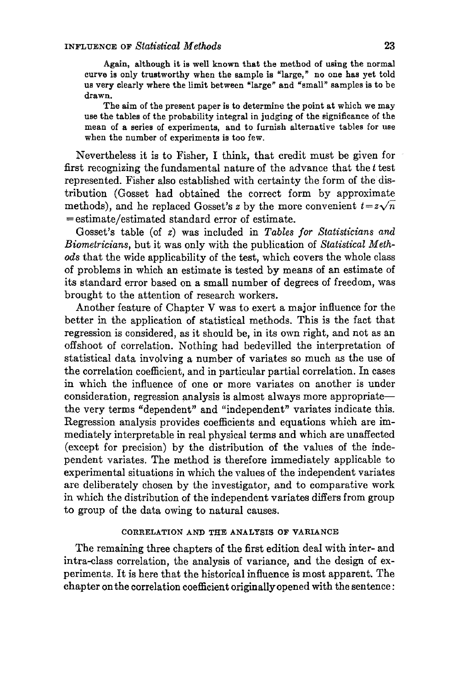Again, although it is well known that the method of using the normal curve is only trustworthy when the sample is "large," no one has yet told us very clearly where the limit between "large" and "small" samples is to be drawn.

The aim of the present paper is to determine the point at which we may use the tables of the probability integral in judging of the significance of the mean of a series of experiments, and to furnish alternative tables for use when the number of experiments is too few.

Nevertheless it is to Fisher, I think, that credit must be given for first recognizing the fundamental nature of the advance that the *t* test represented. Fisher also established with certainty the form of the distribution (Gosset had obtained the correct form by approximate methods), and he replaced Gosset's *z* by the more convenient  $t = z\sqrt{n}$ =estimate/estimated standard error of estimate.

Gosset's table (of *z)* was included in *Tables for Statisticians and Biometricians,* but it was only with the publication of *Statistical Methods* that the wide applicability of the test, which covers the whole class of problems in which an estimate is tested by means of an estimate of its standard error based on a small number of degrees of freedom, was brought to the attention of research workers.

Another feature of Chapter V was to exert a major influence for the better in the application of statistical methods. This is the fact that regression is considered, as it should be, in its own right, and not as an offshoot of correlation. Nothing had bedevilled the interpretation of statistical data involving a number of variates so much as the use of the correlation coefficient, and in particular partial correlation. In cases in which the influence of one or more variates on another is under consideration, regression analysis is almost always more appropriatethe very terms "dependent" and "independent" variates indicate this. Regression analysis provides coefficients and equations which are immediately interpretable in real physical terms and which are unaffected (except for precision) by the distribution of the values of the independent variates. The method is therefore immediately applicable to experimental situations in which the values of the independent variates are deliberately chosen by the investigator, and to comparative work in which the distribution of the independent variates differs from group to group of the data owing to natural causes.

# CORRELATION AND THE ANALYSIS OF VARIANCE

The remaining three chapters of the first edition deal with inter- and intra-elass correlation, the analysis of variance, and the design of experiments. It is here that the historical influence is most apparent. The chapter on the correlation coefficient originallyopened with the sentence: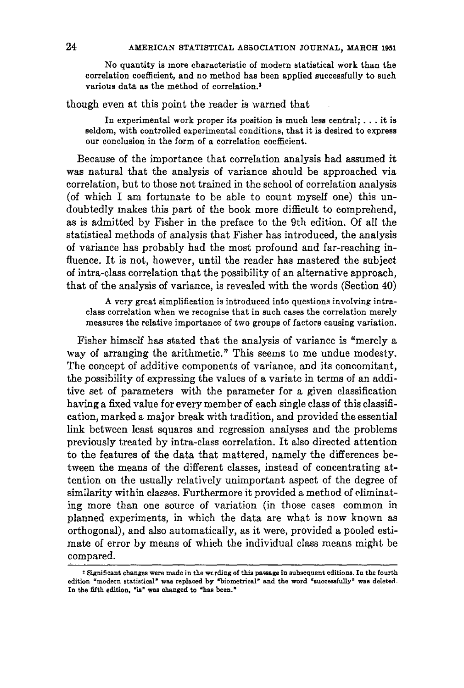No quantity is more characteristic of modern statistical work than the correlation coefficient, and no method has been applied successfully to such various data as the method of correlation.<sup>2</sup>

though even at this point the reader is warned that

In experimental work proper its position is much less central; ... it is seldom, with controlled experimental conditions, that it is desired to express our conclusion in the form of a correlation coefficient.

Because of the importance that correlation analysis had assumed it was natural that the analysis of variance should be approached via correlation, but to those not trained in the school of correlation analysis (of which I am fortunate to be able to count myself one) this undoubtedly makes this part of the book more difficult to comprehend, as is admitted by Fisher in the preface to the 9th edition. Of all the statistical methods of analysis that Fisher has introduced, the analysis of variance has probably had the most profound and far-reaching influence. It is not, however, until the reader has mastered the subject of intra-class correlation that the possibility of an alternative approach, that of the analysis of variance, is revealed with the words (Section 40)

A very great simplification is introduced into questions involving intraclass correlation when we recognise that in such cases the correlation merely measures the relative importance of two groups of factors causing variation.

Fisher himself has stated that the analysis of variance is "merely a way of arranging the arithmetic." This seems to me undue modesty. The concept of additive components of variance, and its concomitant, the possibility of expressing the values of a variate in terms of an additive set of parameters with the parameter for a given classification having a fixed value for every member of each single class of this classification, marked a major break with tradition, and provided the essential link between least squares and regression analyses and the problems previously treated by intra-class correlation. It also directed attention to the features of the data that mattered, namely the differences between the means of the different classes, instead of concentrating attention on the usually relatively unimportant aspect of the degree of similarity within classes. Furthermore it provided a method of eliminating more than one source of variation (in those cases common in planned experiments, in which the data are what is now known as orthogonal), and also automatically, as it were, provided a pooled estimate of error by means of which the individual class means might be compared.

<sup>,</sup> Significant changes were made in the wording of this passage in subsequent editions. In the fourth edition "modern statistical" was replaced by "biometrical" and the word "successfully" was deleted. In the fifth edition, "is" was changed to "has been."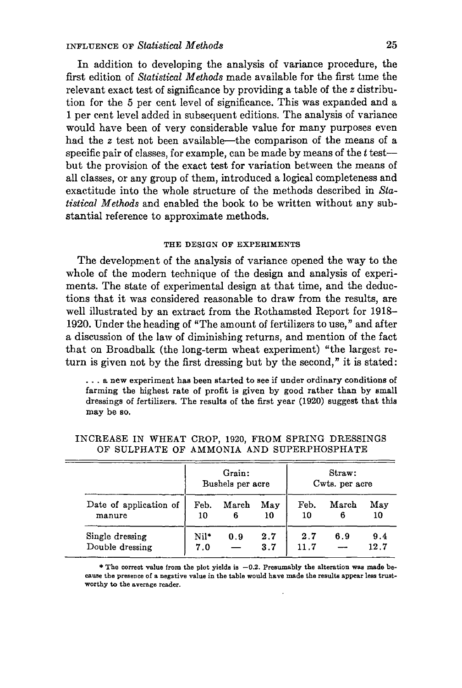In addition to developing the analysis of variance procedure, the first edition of *Statistical Methods* made available for the first time the relevant exact test of significance by providing a table of the *z* distribution for the 5 per cent level of significance. This was expanded and a 1 per cent level added in subsequent editions. The analysis of variance would have been of very considerable value for many purposes even had the *z* test not been available-the comparison of the means of a specific pair of classes, for example, can be made by means of the *t* testbut the provision of the exact test for variation between the means of all classes, or any group of them, introduced a logical completeness and exactitude into the whole structure of the methods described in *Statistical Methods* and enabled the book to be written without any substantial reference to approximate methods.

#### THE DESIGN OF EXPERIMENTS

The development of the analysis of variance opened the way to the whole of the modern technique of the design and analysis of experiments. The state of experimental design at that time, and the deductions that it was considered reasonable to draw from the results, are well illustrated by an extract from the Rothamsted Report for 1918- 1920. Under the heading of "The amount of fertilizers to use," and after a discussion of the law of diminishing returns, and mention of the fact that on Broadbalk (the long-term wheat experiment) "the largest return is given not by the first dressing but by the second, *<sup>n</sup>* it is stated:

... <sup>a</sup> new experiment has been started to see if under ordinary conditions of farming the highest rate of profit is given by good rather than by small dressings of fertilizers. The results of the first year (1920) suggest that this may be so.

|                                    | Grain:<br>Bushels per acre |            |            | Straw:<br>Cwts. per acre |            |             |
|------------------------------------|----------------------------|------------|------------|--------------------------|------------|-------------|
| Date of application of<br>manure   | Feb.<br>10                 | March<br>6 | May<br>10  | Feb.<br>10               | March<br>6 | May<br>10   |
| Single dressing<br>Double dressing | Nil*<br>7.0                | 0.9        | 2.7<br>3.7 | 2.7<br>11.7              | 6.9        | 9.4<br>12.7 |

INCREASE IN WHEAT CROP, 1920, FROM SPRING DRESSINGS OF SULPHATE OF AMMONIA AND SUPERPHOSPHATE

\* The correct value from the plot yields is  $-0.2$ . Presumably the alteration was made because the presence of a negative value in the table would have made the results appear less trustworthy to the average reader.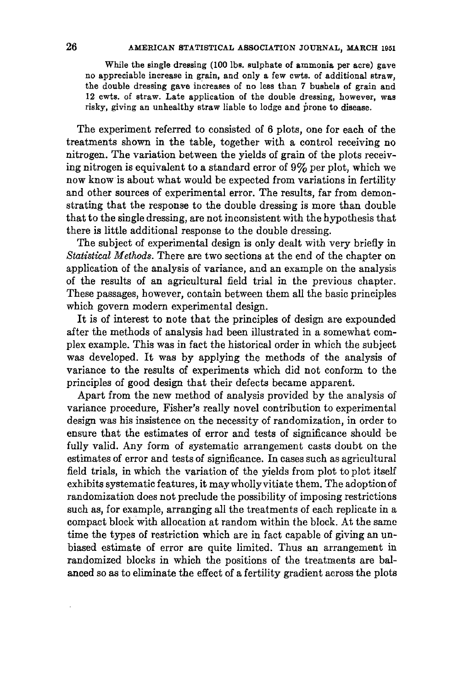While the single dressing (100 lbs, sulphate of ammonia per acre) gave no appreciable increase in grain, and only a few cwts. of additional straw, the double dressing gave increasea of no less than 7 bushels of grain and 12 cwts. of straw. Late application of the double dressing, however, was risky, giving an unhealthy straw liable to lodge and prone to disease.

The experiment referred to consisted of 6 plots, one for each of the treatments shown in the table, together with a control receiving no nitrogen. The variation between the yields of grain of the plots receiving nitrogen is equivalent to a standard error of 9% per plot, which we now know is about what would be expected from variations in fertility and other sources of experimental error. The results, far from demonstrating that the response to the double dressing is more than double that to the single dressing, are not inconsistent with the hypothesis that there is little additional response to the double dressing.

The subject of experimental design is only dealt with very briefly in *Statistical Methods.* There are two sections at the end of the chapter on application of the analysis of variance, and an example on the analysis of the results of an agricultural field trial in the previous chapter. These passages, however, contain between them all the basic principles which govern modern experimental design.

It is of interest to note that the principles of design are expounded after the methods of analysis had been illustrated in a somewhat complex example. This was in fact the historical order in which the subject was developed. It was by applying the methods of the analysis of variance to the results of experiments which did not conform to the principles of good design that their defects became apparent.

Apart from the new method of analysis provided by the analysis of variance procedure, Fisher's really novel contribution to experimental design was his insistence on the necessity of randomization, in order to ensure that the estimates of error and tests of significance should be fully valid. Any form of systematic arrangement casts doubt on the estimates of error and tests of significance. In cases such as agricultural field trials, in which the variation of the yields from plot to plot itself exhibits systematic features, it maywhollyvitiate them. The adoption of randomization does not preclude the possibility of imposing restrictions such as, for example, arranging all the treatments of each replicate in a compact block with allocation at random within the block. At the same time the types of restriction which are in fact capable of giving an unbiased estimate of error are quite limited. Thus an arrangement in randomized blocks in which the positions of the treatments are balanced so as to eliminate the effect of a fertility gradient across the plots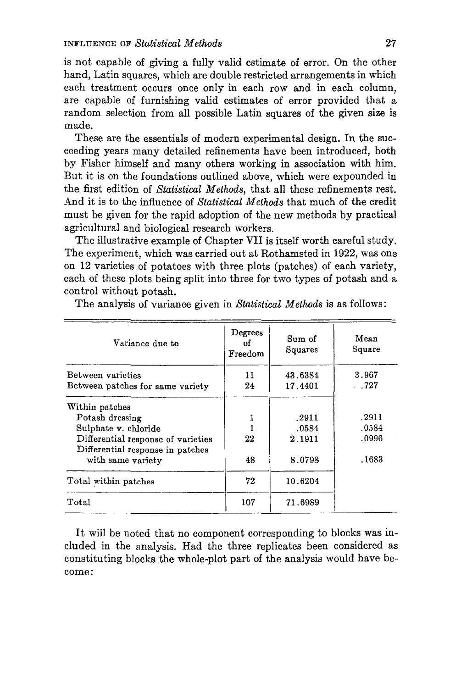is not capable of giving a fully valid estimate of error. On the other hand, Latin squares, which are double restricted arrangements in which each treatment occurs once only in each row and in each column, are capable of furnishing valid estimates of error provided that a random selection from all possible Latin squares of the given size is made.

These are the essentials of modern experimental design. In the succeeding years many detailed refinements have been introduced, both by Fisher himself and many others working in association with him. But it is on the foundations outlined above, which were expounded in the first edition of *Statistical Methods,* that all these refinements rest. And it is to the influence of *Statistical Methods* that much of the credit must be given for the rapid adoption of the new methods by practical agricultural and biological research workers.

The illustrative example of Chapter VII is itself worth careful study. The experiment, which was carried out at Rothamsted in 1922, was one on 12 varieties of potatoes with three plots (patches) of each variety, each of these plots being split into three for two types of potash and a control without potash.

| Variance due to                                                        | Degrees<br>οf<br>Freedom | Sum of<br>Squares | Mean<br>Square |
|------------------------------------------------------------------------|--------------------------|-------------------|----------------|
| Between varieties                                                      | 11                       | 43.6384           | 3.967<br>.727  |
| Between patches for same variety                                       | 24                       | 17.4401           |                |
| Within patches                                                         |                          |                   |                |
| Potash dressing                                                        |                          | .2911             | .2911          |
| Sulphate v. chloride                                                   |                          | .0584             | .0584          |
| Differential response of varieties<br>Differential response in patches | 22                       | 2.1911            | .0996          |
| with same variety                                                      | 48                       | 8.0798            | .1683          |
| Total within patches                                                   | 72                       | 10.6204           |                |
| Total                                                                  | 107                      | 71.6989           |                |

The analysis of variance given in *Statistical Methods* is as follows:

It will be noted that no component corresponding to blocks was included in the analysis. Had the three replicates been considered as constituting blocks the whole-plot part of the analysis would have become: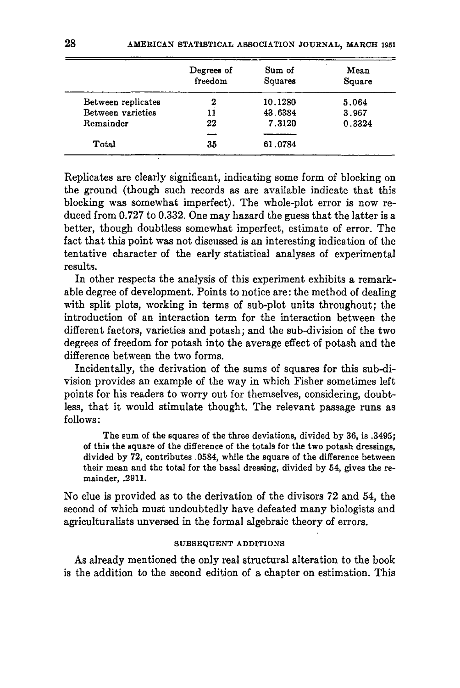|                    | Degrees of<br>freedom | Sum of<br>Squares | Mean<br>Square |
|--------------------|-----------------------|-------------------|----------------|
| Between replicates | 2                     | 10.1280           | 5.064          |
| Between varieties  | 11                    | 43.6384           | 3.967          |
| Remainder          | 22                    | 7.3120            | 0.3324         |
|                    |                       |                   |                |
| Total              | 35                    | 61.0784           |                |

Replicates are clearly significant, indicating some form of blocking on the ground (though such records as are available indicate that this blocking was somewhat imperfect). The whole-plot error is now reduced from 0.727 to 0.332. One may hazard the guess that the latter is a better, though doubtless somewhat imperfect, estimate of error. The fact that this point was not discussed is an interesting indication of the tentative character of the early statistical analyses of experimental results.

In other respects the analysis of this experiment exhibits a remarkable degree of development. Points to notice are: the method of dealing with split plots, working in terms of sub-plot units throughout; the introduction of an interaction term for the interaction between the different factors, varieties and potash; and the sub-division of the two degrees of freedom for potash into the average effect of potash and the difference between the two forms.

Incidentally, the derivation of the sums of squares for this sub-division provides an example of the way in which Fisher sometimes left points for his readers to worry out for themselves, considering, doubtless, that it would stimulate thought. The relevant passage runs as follows:

The sum of the squares of the three deviations, divided by 36, is .3495; of this the square of the difference of the totals for the two potash dressings, divided by 72, contributes .0584, while the square of the difference between their mean and the total for the basal dressing, divided by 54, gives the remainder, .2911.

No clue is provided as to the derivation of the divisors 72 and 54, the second of which must undoubtedly have defeated many biologists and agriculturalists unversed in the formal algebraic theory of errors.

# SUBSEQUENT ADDITIONS

As already mentioned the only real structural alteration to the book is the addition to the second edition of a chapter on estimation. This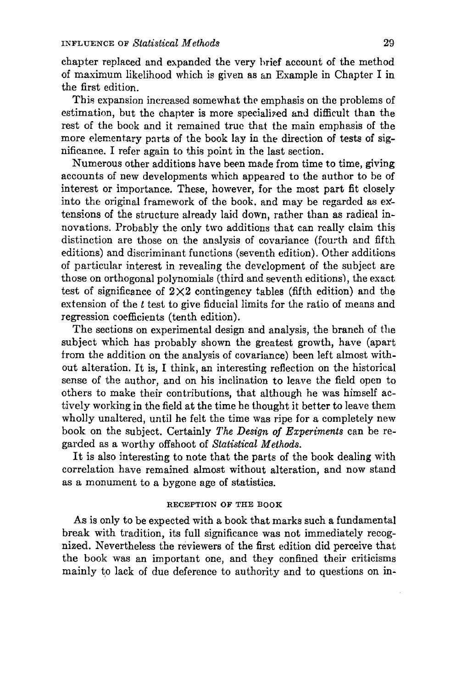chapter replaced and expanded the very hrief account of the method of maximum likelihood which is given as an Example in Chapter I in the first edition.

This expansion increased somewhat the emphasis on the problems of estimation, but the chapter is more specialized and difficult than the rest of the book and it remained true that the main emphasis of the more elementary parts of the book lay in the direction of tests of significance. I refer again to this point in the last section.

Numerous other additions have been made from time to time, giving accounts of new developments which appeared to the author to be of interest or importance. These, however, for the most part fit closely into the original framework of the book. and may be regarded as ex' tensions of the structure already laid down, rather than as radical innovations. Probably the only two additions that can really claim this distinction are those on the analysis of covariance (fourth and fifth editions) and discriminant functions (seventh edition). Other additions of particular interest in revealing the development of the subject are those on orthogonal polynomials (third and seventh editions), the exact test of significance of  $2 \times 2$  contingency tables (fifth edition) and the extension of the *t* test to give fiducial limits for the ratio of means and regression coefficients (tenth edition).

The sections on experimental design and analysis, the branch of the subject which has probably shown the greatest growth, have (apart from the addition on the analysis of covariance) been left almost without alteration. It is, I think, an interesting reflection on the historical sense of the author, and on his inclination to leave the field open to others to make their contributions, that although he was himself actively working in the field at the time he thought it better to leave them wholly unaltered, until he felt the time was ripe for a completely new book on the subject. Certainly *The Design of Experiments* can be regarded as a worthy offshoot of *Statistical Methods.*

It is also interesting to note that the parts of the book dealing with correlation have remained almost without alteration, and now stand as a monument to a bygone age of statistics.

# RECEPTION OF THE BOOK

As is only to be expected with a book that marks such a fundamental break with tradition, its full significance was not immediately recognized. Nevertheless the reviewers of the first edition did perceive that the book was an important one, and they confined their criticisms mainly to lack of due deference to authority and to questions on in-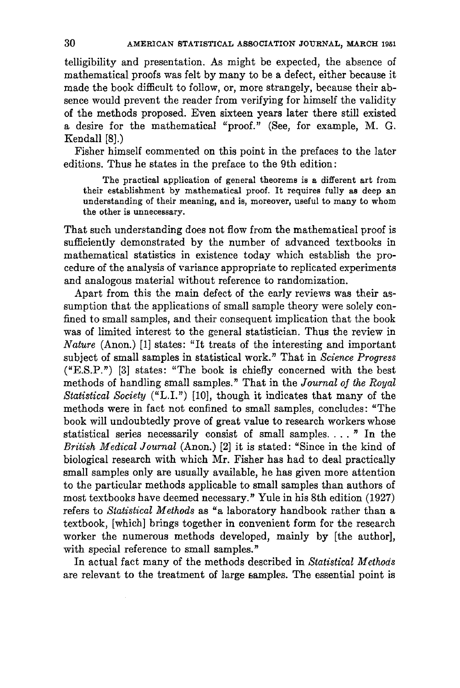telligibility and presentation. As might be expected, the absence of mathematical proofs was felt by many to be a defect, either because it made the book difficult to follow, or, more strangely, because their absence would prevent the reader from verifying for himself the validity of the methods proposed. Even sixteen years later there still existed a desire for the mathematical "proof." (See, for example, M. G. Kendall [8J.)

Fisher himself commented on this point in the prefaces to the later editions. Thus he states in the preface to the 9th edition:

The practical application of general theorems is a different art from their establishment by mathematical proof. It requires fully as deep an understanding of their meaning, and is, moreover, useful to many to whom the other is unnecessary.

That such understanding does not flow from the mathematical proof is sufficiently demonstrated by the number of advanced textbooks in mathematical statistics in existence today which establish the procedure of the analysis of variance appropriate to replicated experiments and analogous material without reference to randomization.

Apart from this the main defect of the early reviews was their assumption that the applications of small sample theory were solely confined to small samples, and their consequent implication that the book was of limited interest to the general statistician. Thus the review in *Nature* (Anon.) [1] states: "It treats of the interesting and important subject of small samples in statistical work." That in *Science Progress* ("E.S.P.") [3] states: "The book is chiefly concerned with the best methods of handling small samples." That in the *Journal oj the Royal Statistical Society* ("L.I.") [10], though it indicates that many of the methods were in fact not confined to small samples, concludes: "The book will undoubtedly prove of great value to research workers whose statistical series necessarily consist of small samples.... " In the *British Medical Journal* (Anon.) [2] it is stated: "Since in the kind of biological research with which Mr. Fisher has had to deal practically small samples only are usually available, he has given more attention to the particular methods applicable to small samples than authors of most textbooks have deemed necessary." Yule in his 8th edition (1927) refers to *Statistical Methods* as "a laboratory handbook rather than a textbook, [which] brings together in convenient form for the research worker the numerous methods developed, mainly by [the author], with special reference to small samples."

In actual fact. many of the methods described in *Statistical Methods* are relevant to the treatment of large samples. The essential point is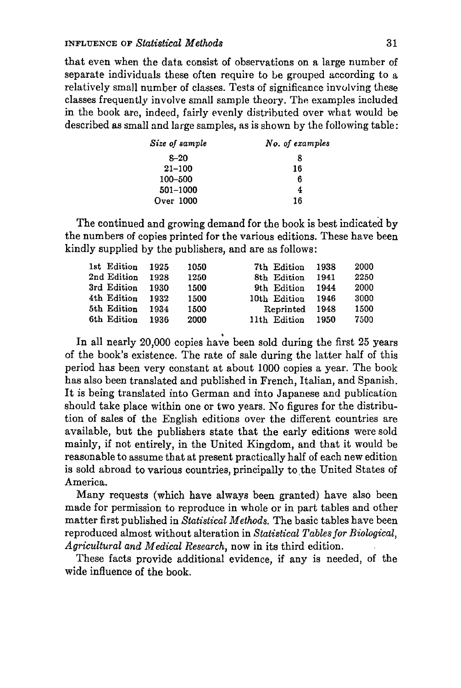that even when the data consist of observations on a large number of separate individuals these often require to be grouped according to a relatively small number of classes, Tests of significance involving these classes frequently involve small sample theory. The examples included in the book are, indeed, fairly evenly distributed over what would be described as small and large samples, as is shown by the following table:

| Size of sample | No. of examples |  |  |
|----------------|-----------------|--|--|
| $8 - 20$       | x               |  |  |
| $21 - 100$     | 16              |  |  |
| 100-500        | 6               |  |  |
| 501-1000       | 4               |  |  |
| Over 1000      | 16              |  |  |

The continued and growing demand for the book is best indicated by the numbers of copies printed for the various editions. These have been kindly supplied by the publishers, and are as follows:

| 1st Edition 1925 |      | 1050 | 7th Edition  | 1938 | 2000 |
|------------------|------|------|--------------|------|------|
| 2nd Edition      | 1928 | 1250 | 8th Edition  | 1941 | 2250 |
| 3rd Edition      | 1930 | 1500 | 9th Edition  | 1944 | 2000 |
| 4th Edition      | 1932 | 1500 | 10th Edition | 1946 | 3000 |
| 5th Edition      | 1934 | 1500 | Reprinted    | 1948 | 1500 |
| 6th Edition      | 1936 | 2000 | 11th Edition | 1950 | 7500 |

In all nearly 20,000 copies have been sold during the first 25 years of the book's existence. The rate of sale during the latter half of this period has been very constant at about 1000 copies a year. The book has also been translated and published in French, Italian, and Spanish. It is being translated into German and into Japanese and publication should take place within one or two years. No figures for the distribution of sales of the English editions over the different countries are available, but the publishers state that the early editions were sold mainly, if not entirely, in the United Kingdom, and that it would be reasonable to assume that at present practically half of each new edition is sold abroad to various countries, principally to the United States of America.

Many requests (which have always been granted) have also been made for permission to reproduce in whole or in part tables and other matter first published in *Statistical Methods.* The basic tables have been reproduced almost without alteration in *Statistical Tablesfor Biological, Agricultural and Medical Research,* now in its third edition.

These facts provide additional evidence, if any is needed, of the wide influence of the book.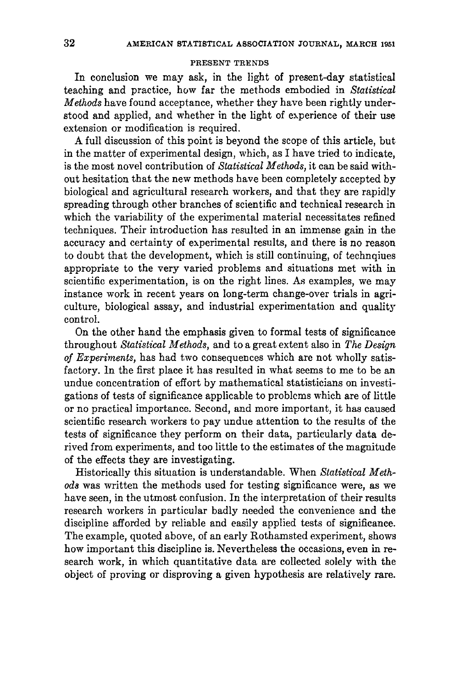### PRESENT TRENDS

In conclusion we may ask, in the light of present-day statistical teaching and practice, how far the methods embodied in *Statistical Methods* have found acceptance, whether they have been rightly understood and applied, and whether in the light of experience of their use extension or modification is required.

A full discussion of this point is beyond the scope of this article, but in the matter of experimental design, which, as I have tried to indicate, is the most novel contribution of *Statistical Methods,* it can be said without hesitation that the new methods have been completely accepted by biological and agricultural research workers, and that they are rapidly spreading through other branches of scientific and technical research in which the variability of the experimental material necessitates refined techniques. Their introduction has resulted in an immense gain in the accuracy and certainty of experimental results, and there is no reason to doubt that the development, which is still continuing, of technqiues appropriate to the very varied problems and situations met with in scientific experimentation, is on the right lines. As examples, we may instance work in recent years on long-term change-over trials in agriculture, biological assay, and industrial experimentation and quality control.

On the other hand the emphasis given to formal tests of significance throughout *Statistical Methods,* and to a great extent also in *The Design of Experiments,* has had two consequences which are not wholly satisfactory. In the first place it has resulted in what seems to me to be an undue concentration of effort by mathematical statisticians on investigations of tests of significance applicable to problems which are of little or no practical importance. Second, and more important, it has caused scientific research workers to pay undue attention to the results of the tests of significance they perform on their data, particularly data derived from experiments, and too little to the estimates of the magnitude of the effects they are investigating.

Historically this situation is understandable. When *Statistical Methods* was written the methods used for testing significance were, as we have seen, in the utmost confusion. In the interpretation of their results research workers in particular badly needed the convenience and the discipline afforded by reliable and easily applied tests of significance. The example, quoted above, of an early Rothamsted experiment, shows how important this discipline is. Nevertheless the occasions, even in research work, in which quantitative data are collected solely with the object of proving or disproving a given hypothesis are relatively rare.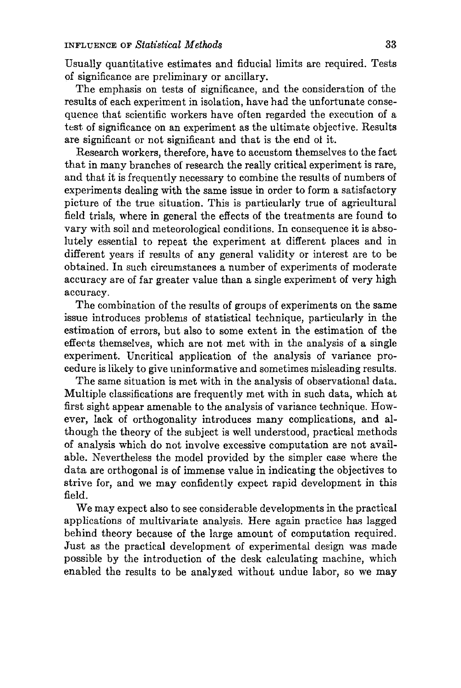Usually quantitative estimates and fiducial limits are required. Tests of significance are preliminary or ancillary.

The emphasis on tests of significance, and the consideration of the results of each experiment in isolation, have had the unfortunate consequence that scientific workers have often regarded the execution of a test of significance on an experiment as the ultimate objective. Results are significant or not significant and that is the end ol it.

Research workers, therefore, have to accustom themselves to the fact that in many branches of research the really critical experiment is rare, and that it is frequently necessary to combine the results of numbers of experiments dealing with the same issue in order to form a satisfactory picture of the true situation. This is particularly true of agricultural field trials, where in general the effects of the treatments are found to vary with soil and meteorological conditions. In consequence it is absolutely essential to repeat the experiment at different places and in different years if results of any general validity or interest are to be obtained. In such circumstances a number of experiments of moderate accuracy are of far greater value than a single experiment of very high accuracy.

The combination of the results of groups of experiments on the same issue introduces problems of statistical technique, particularly in the estimation of errors, but also to some extent in the estimation of the effects themselves, which are not met with in the analysis of a single experiment. Uncritical application of the analysis of variance procedure is likely to give uninformative and sometimes misleading results.

The same situation is met with in the analysis of observational data. Multiple classifications are frequently met with in such data, which at first sight appear amenable to the analysis of variance technique. However, lack of orthogonality introduces many complications, and although the theory of the subject is well understood, practical methods of analysis which do not involve excessive computation are not available. Nevertheless the model provided by the simpler case where the data are orthogonal is of immense value in indicating the objectives to strive for, and we may confidently expect rapid development in this field.

We may expect also to see considerable developments in the practical applications of multivariate analysis. Here again practice has lagged behind theory because of the large amount of computation required. Just as the practical development of experimental design was made possible by the introduction of the desk calculating machine, which enabled the results to be analyzed without undue labor, so we may